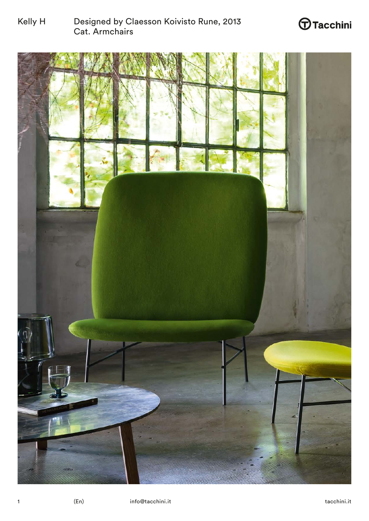

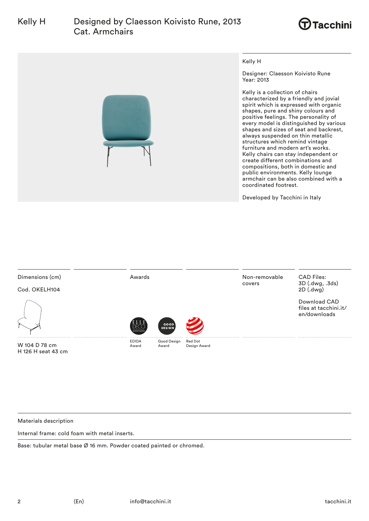



| Dimensions (cm)<br>Cod. OKELH104 | Awards                                   |                       |                         | Non-removable<br>covers | <b>CAD Files:</b><br>3D (.dwg, .3ds)<br>2D (.dwg)     |
|----------------------------------|------------------------------------------|-----------------------|-------------------------|-------------------------|-------------------------------------------------------|
|                                  | NTE BNATION<br><b><i>ESIGN AWABI</i></b> | GOOD<br><b>DESIGN</b> |                         |                         | Download CAD<br>files at tacchini.it/<br>en/downloads |
| W 104 D 78 cm                    | <b>EDIDA</b><br>Award                    | Good Design<br>Award  | Red Dot<br>Design Award |                         |                                                       |

Materials description

H 126 H seat 43 cm

Internal frame: cold foam with metal inserts.

Base: tubular metal base Ø 16 mm. Powder coated painted or chromed.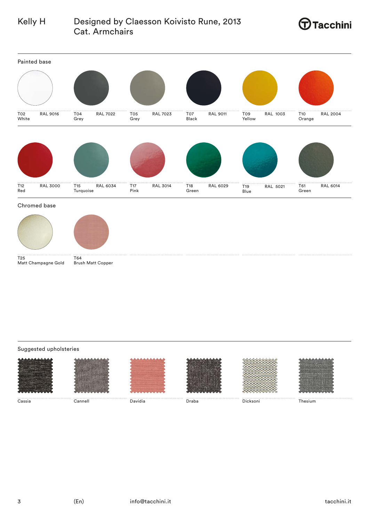







 $T25$ Matt Champagne Gold T64 Brush Matt Copper

## Suggested upholsteries













Cassia Cannell Davidia Draba Dicksoni Thesium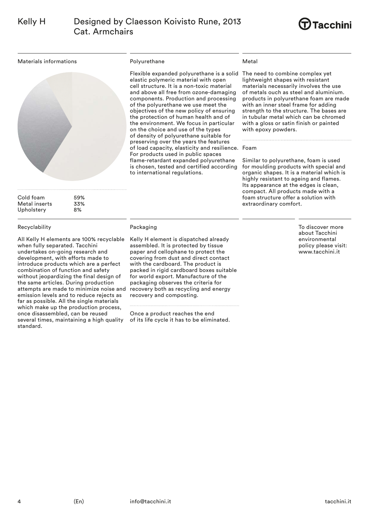

Materials informations



Cold foam 59% Metal inserts 33% Upholstery 8%

### Recyclability

All Kelly H elements are 100% recyclable when fully separated. Tacchini undertakes on-going research and development, with efforts made to introduce products which are a perfect combination of function and safety without jeopardizing the final design of the same articles. During production attempts are made to minimize noise and emission levels and to reduce rejects as far as possible. All the single materials which make up the production process, once disassembled, can be reused several times, maintaining a high quality standard.

### Polyurethane

Flexible expanded polyurethane is a solid The need to combine complex yet elastic polymeric material with open cell structure. It is a non-toxic material and above all free from ozone-damaging components. Production and processing of the polyurethane we use meet the objectives of the new policy of ensuring the protection of human health and of the environment. We focus in particular on the choice and use of the types of density of polyurethane suitable for preserving over the years the features of load capacity, elasticity and resilience. Foam For products used in public spaces flame-retardant expanded polyurethane is chosen, tested and certified according to international regulations.

## Metal

lightweight shapes with resistant materials necessarily involves the use of metals ouch as steel and aluminium. products in polyurethane foam are made with an inner steel frame for adding strength to the structure. The bases are in tubular metal which can be chromed with a gloss or satin finish or painted with epoxy powders.

Similar to polyurethane, foam is used for moulding products with special and organic shapes. It is a material which is highly resistant to ageing and flames. Its appearance at the edges is clean, compact. All products made with a foam structure offer a solution with extraordinary comfort.

> To discover more about Tacchini environmental policy please visit: www.tacchini.it

### Packaging

Kelly H element is dispatched already assembled. It is protected by tissue paper and cellophane to protect the covering from dust and direct contact with the cardboard. The product is packed in rigid cardboard boxes suitable for world export. Manufacture of the packaging observes the criteria for recovery both as recycling and energy recovery and composting.

Once a product reaches the end of its life cycle it has to be eliminated.